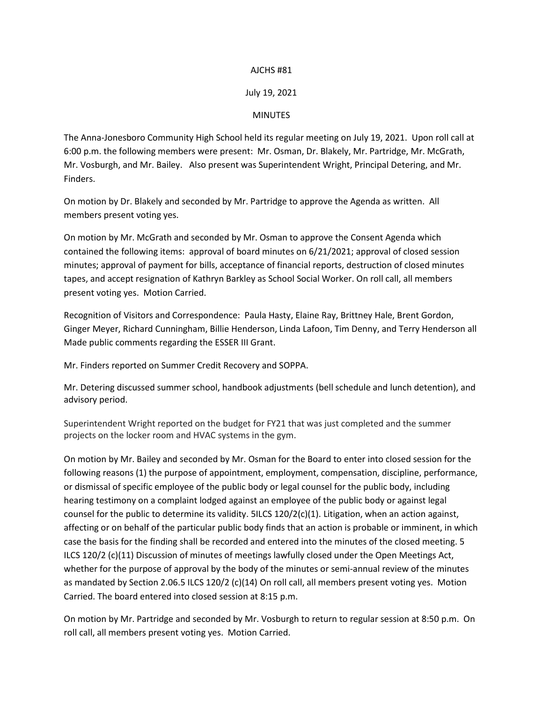## AJCHS #81

## July 19, 2021

## MINUTES

The Anna-Jonesboro Community High School held its regular meeting on July 19, 2021. Upon roll call at 6:00 p.m. the following members were present: Mr. Osman, Dr. Blakely, Mr. Partridge, Mr. McGrath, Mr. Vosburgh, and Mr. Bailey. Also present was Superintendent Wright, Principal Detering, and Mr. Finders.

On motion by Dr. Blakely and seconded by Mr. Partridge to approve the Agenda as written. All members present voting yes.

On motion by Mr. McGrath and seconded by Mr. Osman to approve the Consent Agenda which contained the following items: approval of board minutes on 6/21/2021; approval of closed session minutes; approval of payment for bills, acceptance of financial reports, destruction of closed minutes tapes, and accept resignation of Kathryn Barkley as School Social Worker. On roll call, all members present voting yes. Motion Carried.

Recognition of Visitors and Correspondence: Paula Hasty, Elaine Ray, Brittney Hale, Brent Gordon, Ginger Meyer, Richard Cunningham, Billie Henderson, Linda Lafoon, Tim Denny, and Terry Henderson all Made public comments regarding the ESSER III Grant.

Mr. Finders reported on Summer Credit Recovery and SOPPA.

Mr. Detering discussed summer school, handbook adjustments (bell schedule and lunch detention), and advisory period.

Superintendent Wright reported on the budget for FY21 that was just completed and the summer projects on the locker room and HVAC systems in the gym.

On motion by Mr. Bailey and seconded by Mr. Osman for the Board to enter into closed session for the following reasons (1) the purpose of appointment, employment, compensation, discipline, performance, or dismissal of specific employee of the public body or legal counsel for the public body, including hearing testimony on a complaint lodged against an employee of the public body or against legal counsel for the public to determine its validity. 5ILCS 120/2(c)(1). Litigation, when an action against, affecting or on behalf of the particular public body finds that an action is probable or imminent, in which case the basis for the finding shall be recorded and entered into the minutes of the closed meeting. 5 ILCS 120/2 (c)(11) Discussion of minutes of meetings lawfully closed under the Open Meetings Act, whether for the purpose of approval by the body of the minutes or semi-annual review of the minutes as mandated by Section 2.06.5 ILCS 120/2 (c)(14) On roll call, all members present voting yes. Motion Carried. The board entered into closed session at 8:15 p.m.

On motion by Mr. Partridge and seconded by Mr. Vosburgh to return to regular session at 8:50 p.m. On roll call, all members present voting yes. Motion Carried.